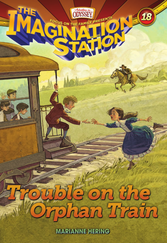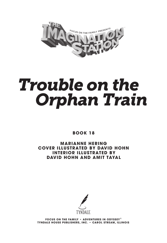

# *Trouble on the Orphan Train*

**BOOK 18**

**MARIANNE HERING COVER ILLUSTRATED BY DAVID HOHN INTERIOR ILLUSTRATED BY DAVID HOHN AND AMIT TAYAL**



**FOCUS ON THE FAMILY • ADVENTURES IN ODYSSEY**® **TYNDALE HOUSE PUBLISHERS, INC. • CAROL STREAM, ILLINOIS**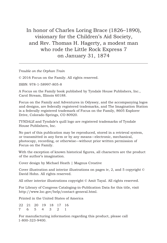In honor of Charles Loring Brace (1826–1890), visionary for the Children's Aid Society, and Rev. Thomas H. Hagerty, a modest man who rode the Little Rock Express 7 on January 31, 1874

*Trouble on the Orphan Train*

© 2016 Focus on the Family. All rights reserved.

ISBN: 978-1-58997-805-8

A Focus on the Family book published by Tyndale House Publishers, Inc., Carol Stream, Illinois 60188.

Focus on the Family and Adventures in Odyssey, and the accompanying logos and designs, are federally registered trademarks, and The Imagination Station is a federally registered trademark of Focus on the Family, 8605 Explorer Drive, Colorado Springs, CO 80920.

*TYNDALE* and Tyndale's quill logo are registered trademarks of Tyndale House Publishers, Inc.

No part of this publication may be reproduced, stored in a retrieval system, or transmitted in any form or by any means—electronic, mechanical, photocopy, recording, or otherwise—without prior written permission of Focus on the Family.

With the exception of known historical figures, all characters are the product of the author's imagination.

Cover design by Michael Heath | Magnus Creative

Cover illustration and interior illustrations on pages iv, 2, and 5 copyright  $\heartsuit$ David Hohn. All rights reserved.

All other interior illustrations copyright © Amit Tayal. All rights reserved.

For Library of Congress Cataloging-in-Publication Data for this title, visit http://www.loc.gov/help/contact-general.html.

Printed in the United States of America

|  | 22 21 20 19 18 17 16 |  |  |
|--|----------------------|--|--|
|  | 7 6 5 4 3 2 1        |  |  |

For manufacturing information regarding this product, please call 1-800-323-9400.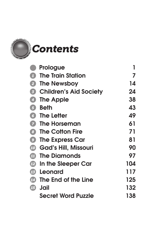

|                 | Prologue                      | 1   |
|-----------------|-------------------------------|-----|
| $\boxed{1}$     | <b>The Train Station</b>      | 7   |
| $\bullet$       | The Newsboy                   | 14  |
| 3               | <b>Children's Aid Society</b> | 24  |
| O               | <b>The Apple</b>              | 38  |
|                 | <b>6</b> Beth                 | 43  |
|                 | <b>6</b> The Letter           | 49  |
| $\bullet$       | The Horseman                  | 61  |
| 8               | <b>The Cotton Fire</b>        | 71  |
| $\bullet$       | <b>The Express Car</b>        | 81  |
| 10              | Gad's Hill, Missouri          | 90  |
| $\Omega$        | <b>The Diamonds</b>           | 97  |
|                 | <b>12 In the Sleeper Car</b>  | 104 |
| $\mathbf{E}$    | Leonard                       | 117 |
|                 | 14 The End of the Line        | 125 |
| $\overline{15}$ | Jail                          | 132 |
|                 | <b>Secret Word Puzzle</b>     | 138 |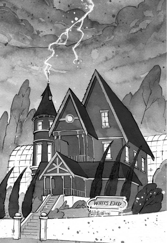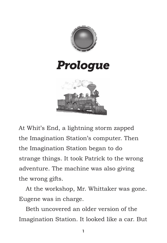<span id="page-5-0"></span>

### *Prologue*



At Whit's End, a lightning storm zapped the Imagination Station's computer. Then the Imagination Station began to do strange things. It took Patrick to the wrong adventure. The machine was also giving the wrong gifts.

At the workshop, Mr. Whittaker was gone. Eugene was in charge.

Beth uncovered an older version of the Imagination Station. It looked like a car. But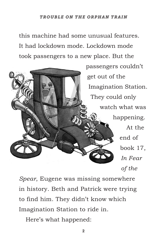this machine had some unusual features. It had lockdown mode. Lockdown mode took passengers to a new place. But the



*of the* 

*Spear*, Eugene was missing somewhere in history. Beth and Patrick were trying to find him. They didn't know which Imagination Station to ride in.

Here's what happened: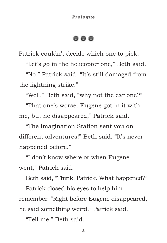### $\mathbf{\Theta} \mathbf{\Theta} \mathbf{\Theta}$

Patrick couldn't decide which one to pick.

"Let's go in the helicopter one," Beth said. "No," Patrick said. "It's still damaged from the lightning strike."

"Well," Beth said, "why not the car one?"

"That one's worse. Eugene got in it with me, but he disappeared," Patrick said.

"The Imagination Station sent you on different adventures!" Beth said. "It's never happened before."

"I don't know where or when Eugene went," Patrick said.

Beth said, "Think, Patrick. What happened?"

Patrick closed his eyes to help him remember. "Right before Eugene disappeared, he said something weird," Patrick said.

"Tell me," Beth said.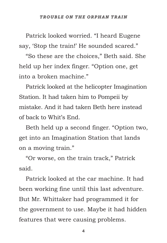Patrick looked worried. "I heard Eugene say, 'Stop the train!' He sounded scared."

"So these are the choices," Beth said. She held up her index finger. "Option one, get into a broken machine."

Patrick looked at the helicopter Imagination Station. It had taken him to Pompeii by mistake. And it had taken Beth here instead of back to Whit's End.

Beth held up a second finger. "Option two, get into an Imagination Station that lands on a moving train."

"Or worse, on the train track," Patrick said.

Patrick looked at the car machine. It had been working fine until this last adventure. But Mr. Whittaker had programmed it for the government to use. Maybe it had hidden features that were causing problems.

**4**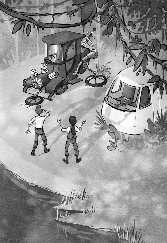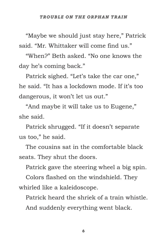"Maybe we should just stay here," Patrick said. "Mr. Whittaker will come find us."

"When?" Beth asked. "No one knows the day he's coming back."

Patrick sighed. "Let's take the car one," he said. "It has a lockdown mode. If it's too dangerous, it won't let us out."

"And maybe it will take us to Eugene," she said.

Patrick shrugged. "If it doesn't separate us too," he said.

The cousins sat in the comfortable black seats. They shut the doors.

Patrick gave the steering wheel a big spin.

Colors flashed on the windshield. They whirled like a kaleidoscope.

Patrick heard the shriek of a train whistle. And suddenly everything went black.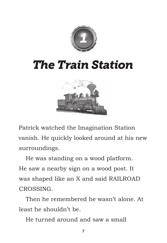

## <span id="page-11-0"></span>*The Train Station*



Patrick watched the Imagination Station vanish. He quickly looked around at his new surroundings.

He was standing on a wood platform. He saw a nearby sign on a wood post. It was shaped like an X and said RAILROAD CROSSING.

Then he remembered he wasn't alone. At least he shouldn't be.

He turned around and saw a small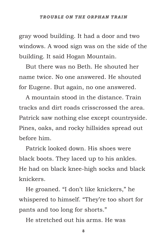gray wood building. It had a door and two windows. A wood sign was on the side of the building. It said Hogan Mountain.

But there was no Beth. He shouted her name twice. No one answered. He shouted for Eugene. But again, no one answered.

A mountain stood in the distance. Train tracks and dirt roads crisscrossed the area. Patrick saw nothing else except countryside. Pines, oaks, and rocky hillsides spread out before him.

Patrick looked down. His shoes were black boots. They laced up to his ankles. He had on black knee-high socks and black knickers.

He groaned. "I don't like knickers," he whispered to himself. "They're too short for pants and too long for shorts."

He stretched out his arms. He was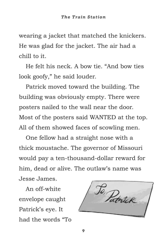wearing a jacket that matched the knickers. He was glad for the jacket. The air had a chill to it.

He felt his neck. A bow tie. "And bow ties look goofy," he said louder.

Patrick moved toward the building. The building was obviously empty. There were posters nailed to the wall near the door. Most of the posters said WANTED at the top. All of them showed faces of scowling men.

One fellow had a straight nose with a thick moustache. The governor of Missouri would pay a ten-thousand-dollar reward for him, dead or alive. The outlaw's name was Jesse James.

An off-white envelope caught Patrick's eye. It had the words "To

**9**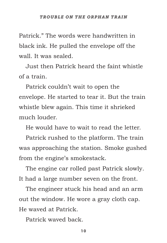Patrick." The words were handwritten in black ink. He pulled the envelope off the wall. It was sealed.

Just then Patrick heard the faint whistle of a train.

Patrick couldn't wait to open the envelope. He started to tear it. But the train whistle blew again. This time it shrieked much louder.

He would have to wait to read the letter.

Patrick rushed to the platform. The train was approaching the station. Smoke gushed from the engine's smokestack.

The engine car rolled past Patrick slowly. It had a large number seven on the front.

The engineer stuck his head and an arm out the window. He wore a gray cloth cap. He waved at Patrick.

Patrick waved back.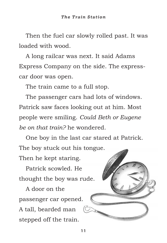Then the fuel car slowly rolled past. It was loaded with wood.

A long railcar was next. It said Adams Express Company on the side. The expresscar door was open.

The train came to a full stop.

The passenger cars had lots of windows. Patrick saw faces looking out at him. Most people were smiling. *Could Beth or Eugene be on that train?* he wondered.

One boy in the last car stared at Patrick. The boy stuck out his tongue. Then he kept staring.

Patrick scowled. He thought the boy was rude.

A door on the passenger car opened. A tall, bearded man stepped off the train.

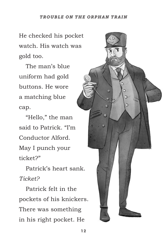He checked his pocket watch. His watch was gold too.

The man's blue uniform had gold buttons. He wore a matching blue cap.

"Hello," the man said to Patrick. "I'm Conductor Alford. May I punch your ticket?"

Patrick's heart sank. *Ticket?*

Patrick felt in the pockets of his knickers. There was something in his right pocket. He